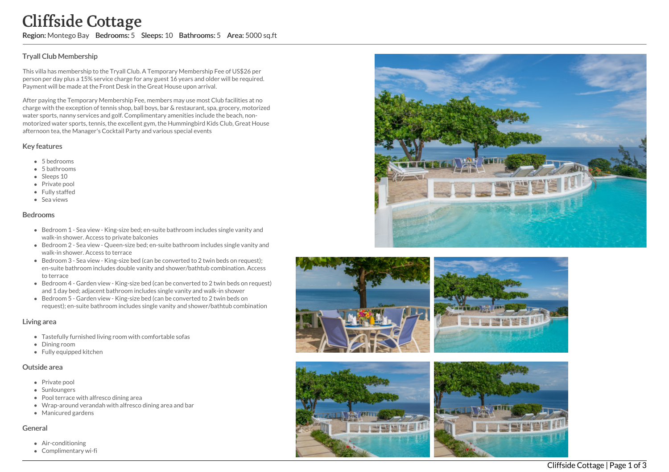## T ry all Clu b M e m b e r s hip

This villa has membership to the Tryall Club. A Temporary Membership Fee of US\$26 per person per day plus a 15% service charge for any guest 16 years and older will be required. Payment will be made at the Front Desk in the Great House upon arrival.

After paying the Temporary Membership Fee, members may use most Club facilities at no charge with the exception of tennis shop, ball boys, bar & restaurant, spa, grocery, motorize d water sports, nanny services and golf. Complimentary amenities include the beach, nonmotorized water sports, tennis, the excellent gym, the Hummingbird Kids Club, Great House afternoon tea, the Manager's Cocktail Party and various special events **Cliffside Constant State Constant State Constant State Tryall Club Membership**<br>Tryall Club Membership to the person per day plus a 15% ser<br>Payment will be made at the F<br>After paying the Temporary No charge with the except

## Key features

- 5 b e d r o o m s
- 5 bathrooms
- Sleeps 10
- Private pool
- Fully staffed
- Sea views

#### **Bedrooms**

- Bedroom 1 Sea view King-size bed; en-suite bathroom includes single vanity and walk-in shower. Access to private balconies
- Bedroom 2 Sea view Queen-size bed; en-suite bathroom includes single vanity and walk-in shower. Access to terrace
- Bedroom 3 Sea view King-size bed (can be converted to 2 twin beds on request); en-suite bathroom includes double vanity and shower/bathtub combination. Acces s to terrace
- Bedroom 4 Garden view King-size bed (can be converted to 2 twin beds on request) and 1 day bed; adjacent bathroom includes single vanity and walk-in shower
- Bedroom 5 Garden view King-size bed (can be converted to 2 twin beds on request); en-suite bathroom includes single vanity and shower/bathtub combination

### Living area

- Tastefully furnished living room with comfortable sofas
- Dinin g r o o m
- Fully equipped kitchen

#### Outside area

- Private pool
- Sunloungers
- Pool terrace with alfresco dining area
- Wrap-around verandah with alfresco dining area and bar
- Manicured gardens

#### General

- Air-conditioning
- Complimentary wi-









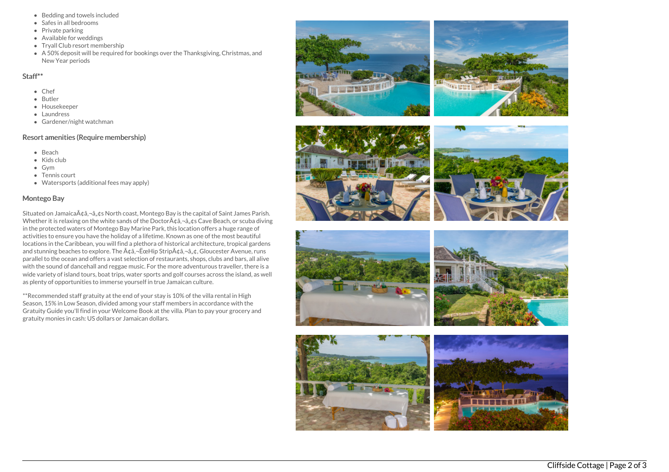- Bedding and towels included
- Safes in all bedrooms
- Private parking
- Available for weddings
- Tryall Club resort membership
- A 50% deposit will be required for bookings over the Thanksgiving, Christmas, and New Year periods

#### Staff\*\*

- Chef
- Butler
- Housekeeper
- Laundress
- Gardener/night watchman

# Resort amenities (Require membership)

- Beach
- Kids club
- Gym
- Tennis court
- Watersports (additional fees may apply)

### Montego Bay

Situated on Jamaica $\tilde{A} \phi \hat{a}$ ,  $-\hat{a}$ ,  $\phi$ s North coast, Montego Bay is the capital of Saint James Parish. Whether it is relaxing on the white sands of the Doctor $A\phi$ a, $\neg$ a, $\phi$ s Cave Beach, or scuba diving in the protected waters of Montego Bay Marine Park, this location offers a huge range of activities to ensure you have the holiday of a lifetime. Known as one of the most beautiful locations in the Caribbean, you will find a plethora of historical architecture, tropical gardens and stunning beaches to explore. The  $\tilde{A} \phi \tilde{a}$ ,  $-\tilde{E} \in H$ ip Strip $\tilde{A} \phi \tilde{a}$ ,  $-\tilde{a}$ ,  $\phi$ , Gloucester Avenue, runs parallel to the ocean and offers a vast selection of restaurants, shops, clubs and bars, all alive with the sound of dancehall and reggae music. For the more adventurous traveller, there is a wide variety of island tours, boat trips, water sports and golf courses across the island, as well as plenty of opportunities to immerse yourself in true Jamaican culture.

\*\*Recommended staff gratuity at the end of your stay is 10% of the villa rental in High Season, 15% in Low Season, divided among your staff members in accordance with the Gratuity Guide you'll find in your Welcome Book at the villa. Plan to pay your grocery and gratuity monies in cash: US dollars or Jamaican dollars.